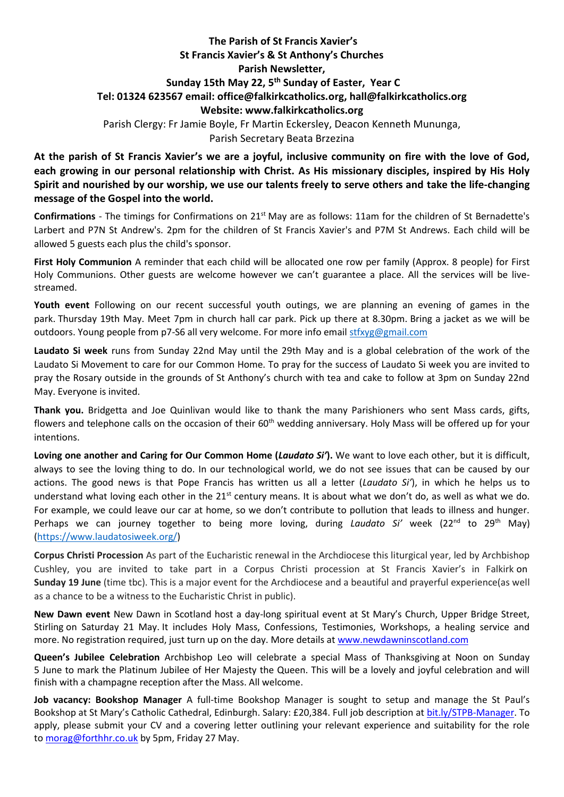## **The Parish of St Francis Xavier's St Francis Xavier's & St Anthony's Churches Parish Newsletter, Sunday 15th May 22, 5 th Sunday of Easter, Year C Tel: 01324 623567 email: office@falkirkcatholics.org, [hall@falkirkcatholics.org](mailto:hall@falkirkcatholics.org) Website: [www.falkirkcatholics.org](http://www.falkirkcatholics.org/)**  Parish Clergy: Fr Jamie Boyle, Fr Martin Eckersley, Deacon Kenneth Mununga, Parish Secretary Beata Brzezina

**At the parish of St Francis Xavier's we are a joyful, inclusive community on fire with the love of God, each growing in our personal relationship with Christ. As His missionary disciples, inspired by His Holy Spirit and nourished by our worship, we use our talents freely to serve others and take the life-changing message of the Gospel into the world.** 

**Confirmations** - The timings for Confirmations on 21st May are as follows: 11am for the children of St Bernadette's Larbert and P7N St Andrew's. 2pm for the children of St Francis Xavier's and P7M St Andrews. Each child will be allowed 5 guests each plus the child's sponsor.

**First Holy Communion** A reminder that each child will be allocated one row per family (Approx. 8 people) for First Holy Communions. Other guests are welcome however we can't guarantee a place. All the services will be livestreamed.

**Youth event** Following on our recent successful youth outings, we are planning an evening of games in the park. Thursday 19th May. Meet 7pm in church hall car park. Pick up there at 8.30pm. Bring a jacket as we will be outdoors. Young people from p7-S6 all very welcome. For more info email [stfxyg@gmail.com](mailto:stfxyg@gmail.com)

**Laudato Si week** runs from Sunday 22nd May until the 29th May and is a global celebration of the work of the Laudato Si Movement to care for our Common Home. To pray for the success of Laudato Si week you are invited to pray the Rosary outside in the grounds of St Anthony's church with tea and cake to follow at 3pm on Sunday 22nd May. Everyone is invited.

**Thank you.** Bridgetta and Joe Quinlivan would like to thank the many Parishioners who sent Mass cards, gifts, flowers and telephone calls on the occasion of their 60<sup>th</sup> wedding anniversary. Holy Mass will be offered up for your intentions.

**Loving one another and Caring for Our Common Home (***Laudato Si'***).** We want to love each other, but it is difficult, always to see the loving thing to do. In our technological world, we do not see issues that can be caused by our actions. The good news is that Pope Francis has written us all a letter (*Laudato Si'*), in which he helps us to understand what loving each other in the  $21^{st}$  century means. It is about what we don't do, as well as what we do. For example, we could leave our car at home, so we don't contribute to pollution that leads to illness and hunger. Perhaps we can journey together to being more loving, during *Laudato Si'* week (22<sup>nd</sup> to 29<sup>th</sup> May) [\(https://www.laudatosiweek.org/\)](https://www.laudatosiweek.org/)

**Corpus Christi Procession** As part of the Eucharistic renewal in the Archdiocese this liturgical year, led by Archbishop Cushley, you are invited to take part in a Corpus Christi procession at St Francis Xavier's in Falkirk on **Sunday 19 June** (time tbc). This is a major event for the Archdiocese and a beautiful and prayerful experience(as well as a chance to be a witness to the Eucharistic Christ in public).

**New Dawn event** New Dawn in Scotland host a day-long spiritual event at St Mary's Church, Upper Bridge Street, Stirling on Saturday 21 May. It includes Holy Mass, Confessions, Testimonies, Workshops, a healing service and more. No registration required, just turn up on the day. More details at [www.newdawninscotland.com](http://www.newdawninscotland.com/)

**Queen's Jubilee Celebration** Archbishop Leo will celebrate a special Mass of Thanksgiving at Noon on Sunday 5 June to mark the Platinum Jubilee of Her Majesty the Queen. This will be a lovely and joyful celebration and will finish with a champagne reception after the Mass. All welcome.

**Job vacancy: Bookshop Manager** A full-time Bookshop Manager is sought to setup and manage the St Paul's Bookshop at St Mary's Catholic Cathedral, Edinburgh. Salary: £20,384. Full job description at [bit.ly/STPB-Manager.](https://bit.ly/STPB-Manager?fbclid=IwAR2x2U1BpZaxtvMRaeEUOV0pn7kprJfWDw_9Tl8MGGN5SRd1iaboQOqYpaI) To apply, please submit your CV and a covering letter outlining your relevant experience and suitability for the role to [morag@forthhr.co.uk](https://mailto:morag@forthhr.co.uk/) by 5pm, Friday 27 May.